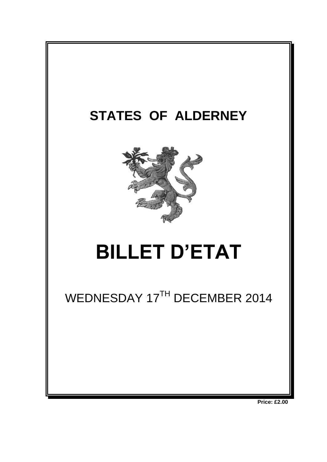

**Price: £2.00**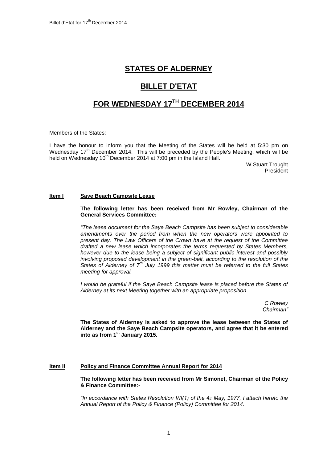## **STATES OF ALDERNEY**

# **BILLET D'ETAT**

# **FOR WEDNESDAY 17 TH DECEMBER 2014**

Members of the States:

I have the honour to inform you that the Meeting of the States will be held at 5:30 pm on Wednesday 17<sup>th</sup> December 2014. This will be preceded by the People's Meeting, which will be held on Wednesday 10<sup>th</sup> December 2014 at 7:00 pm in the Island Hall.

> W Stuart Trought President

## **Item I Saye Beach Campsite Lease**

#### **The following letter has been received from Mr Rowley, Chairman of the General Services Committee:**

*"The lease document for the Saye Beach Campsite has been subject to considerable amendments over the period from when the new operators were appointed to present day. The Law Officers of the Crown have at the request of the Committee drafted a new lease which incorporates the terms requested by States Members, however due to the lease being a subject of significant public interest and possibly involving proposed development in the green-belt, according to the resolution of the States of Alderney of 7th July 1999 this matter must be referred to the full States meeting for approval.*

*I would be grateful if the Saye Beach Campsite lease is placed before the States of Alderney at its next Meeting together with an appropriate proposition.*

> *C Rowley Chairman"*

**The States of Alderney is asked to approve the lease between the States of Alderney and the Saye Beach Campsite operators, and agree that it be entered into as from 1st January 2015.**

### **Item II Policy and Finance Committee Annual Report for 2014**

**The following letter has been received from Mr Simonet, Chairman of the Policy & Finance Committee:-**

*"In accordance with States Resolution VII(1) of the 4th May, 1977, I attach hereto the Annual Report of the Policy & Finance (Policy) Committee for 2014.*